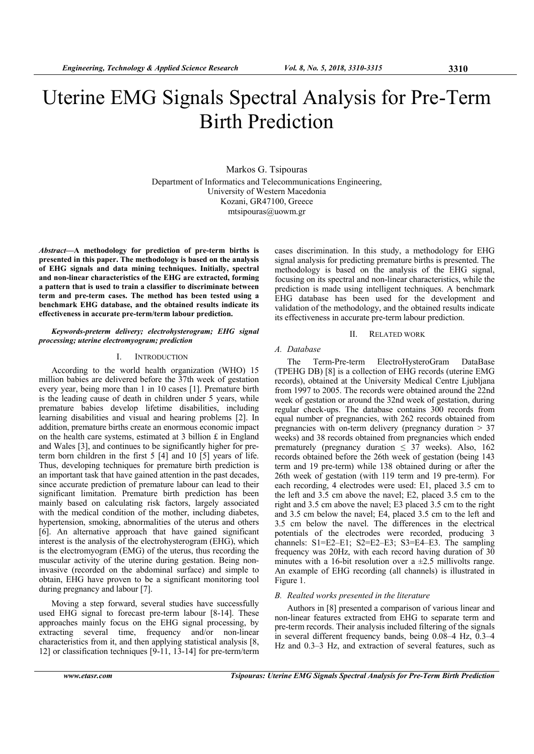# Uterine EMG Signals Spectral Analysis for Pre-Term Birth Prediction

Markos G. Tsipouras Department of Informatics and Telecommunications Engineering, University of Western Macedonia Kozani, GR47100, Greece mtsipouras@uowm.gr

*Abstract***—A methodology for prediction of pre-term births is presented in this paper. The methodology is based on the analysis of EHG signals and data mining techniques. Initially, spectral and non-linear characteristics of the EHG are extracted, forming a pattern that is used to train a classifier to discriminate between term and pre-term cases. The method has been tested using a benchmark EHG database, and the obtained results indicate its effectiveness in accurate pre-term/term labour prediction.** 

## *Keywords-preterm delivery; electrohysterogram; EHG signal processing; uterine electromyogram; prediction*

## I. INTRODUCTION

According to the world health organization (WHO) 15 million babies are delivered before the 37th week of gestation every year, being more than 1 in 10 cases [1]. Premature birth is the leading cause of death in children under 5 years, while premature babies develop lifetime disabilities, including learning disabilities and visual and hearing problems [2]. In addition, premature births create an enormous economic impact on the health care systems, estimated at 3 billion £ in England and Wales [3], and continues to be significantly higher for preterm born children in the first 5 [4] and 10 [5] years of life. Thus, developing techniques for premature birth prediction is an important task that have gained attention in the past decades, since accurate prediction of premature labour can lead to their significant limitation. Premature birth prediction has been mainly based on calculating risk factors, largely associated with the medical condition of the mother, including diabetes, hypertension, smoking, abnormalities of the uterus and others [6]. An alternative approach that have gained significant interest is the analysis of the electrohysterogram (EHG), which is the electromyogram (EMG) of the uterus, thus recording the muscular activity of the uterine during gestation. Being noninvasive (recorded on the abdominal surface) and simple to obtain, EHG have proven to be a significant monitoring tool during pregnancy and labour [7].

Moving a step forward, several studies have successfully used EHG signal to forecast pre-term labour [8-14]. These approaches mainly focus on the EHG signal processing, by extracting several time, frequency and/or non-linear characteristics from it, and then applying statistical analysis [8, 12] or classification techniques [9-11, 13-14] for pre-term/term

cases discrimination. In this study, a methodology for EHG signal analysis for predicting premature births is presented. The methodology is based on the analysis of the EHG signal, focusing on its spectral and non-linear characteristics, while the prediction is made using intelligent techniques. A benchmark EHG database has been used for the development and validation of the methodology, and the obtained results indicate its effectiveness in accurate pre-term labour prediction.

#### II. RELATED WORK

## *A. Database*

The Term-Pre-term ElectroHysteroGram DataBase (TPEHG DB) [8] is a collection of EHG records (uterine EMG records), obtained at the University Medical Centre Ljubljana from 1997 to 2005. The records were obtained around the 22nd week of gestation or around the 32nd week of gestation, during regular check-ups. The database contains 300 records from equal number of pregnancies, with 262 records obtained from pregnancies with on-term delivery (pregnancy duration > 37 weeks) and 38 records obtained from pregnancies which ended prematurely (pregnancy duration  $\leq 37$  weeks). Also, 162 records obtained before the 26th week of gestation (being 143 term and 19 pre-term) while 138 obtained during or after the 26th week of gestation (with 119 term and 19 pre-term). For each recording, 4 electrodes were used: E1, placed 3.5 cm to the left and 3.5 cm above the navel; E2, placed 3.5 cm to the right and 3.5 cm above the navel; E3 placed 3.5 cm to the right and 3.5 cm below the navel; E4, placed 3.5 cm to the left and 3.5 cm below the navel. The differences in the electrical potentials of the electrodes were recorded, producing 3 channels: S1=E2–E1; S2=E2–E3; S3=E4–E3. The sampling frequency was 20Hz, with each record having duration of 30 minutes with a 16-bit resolution over a  $\pm 2.5$  millivolts range. An example of EHG recording (all channels) is illustrated in Figure 1.

#### *B. Realted works presented in the literature*

Authors in [8] presented a comparison of various linear and non-linear features extracted from EHG to separate term and pre-term records. Their analysis included filtering of the signals in several different frequency bands, being 0.08–4 Hz, 0.3–4 Hz and 0.3–3 Hz, and extraction of several features, such as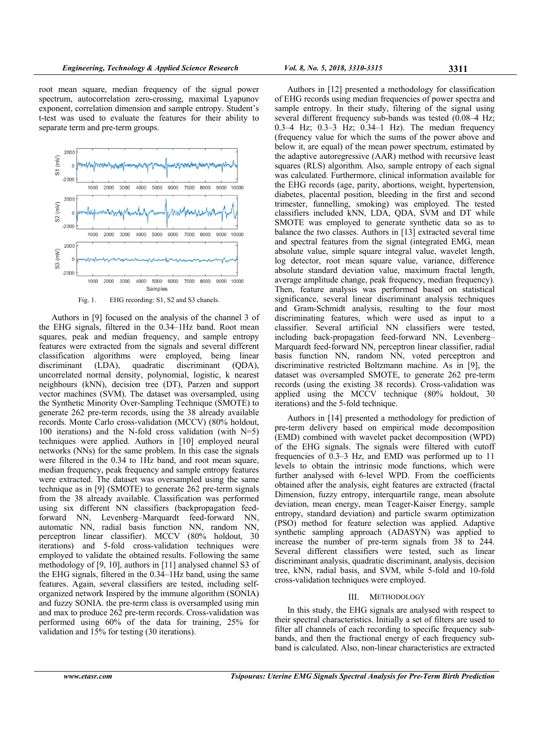root mean square, median frequency of the signal power spectrum, autocorrelation zero-crossing, maximal Lyapunov exponent, correlation dimension and sample entropy. Student's t-test was used to evaluate the features for their ability to separate term and pre-term groups.



Fig. 1. EHG recording: S1, S2 and S3 chanels.

Authors in [9] focused on the analysis of the channel 3 of the EHG signals, filtered in the 0.34–1Hz band. Root mean squares, peak and median frequency, and sample entropy features were extracted from the signals and several different classification algorithms were employed, being linear discriminant (LDA), quadratic discriminant (QDA), uncorrelated normal density, polynomial, logistic, k nearest neighbours (kNN), decision tree (DT), Parzen and support vector machines (SVM). The dataset was oversampled, using the Synthetic Minority Over-Sampling Technique (SMOTE) to generate 262 pre-term records, using the 38 already available records. Monte Carlo cross-validation (MCCV) (80% holdout, 100 iterations) and the N-fold cross validation (with N=5) techniques were applied. Authors in [10] employed neural networks (NNs) for the same problem. In this case the signals were filtered in the 0.34 to 1Hz band, and root mean square, median frequency, peak frequency and sample entropy features were extracted. The dataset was oversampled using the same technique as in [9] (SMOTE) to generate 262 pre-term signals from the 38 already available. Classification was performed using six different NN classifiers (backpropagation feedforward NN, Levenberg–Marquardt feed-forward NN, automatic NN, radial basis function NN, random NN, perceptron linear classifier). MCCV (80% holdout, 30 iterations) and 5-fold cross-validation techniques were employed to validate the obtained results. Following the same methodology of [9, 10], authors in [11] analysed channel S3 of the EHG signals, filtered in the 0.34–1Hz band, using the same features. Again, several classifiers are tested, including selforganized network Inspired by the immune algorithm (SONIA) and fuzzy SONIA. the pre-term class is oversampled using min and max to produce 262 pre-term records. Cross-validation was performed using 60% of the data for training, 25% for validation and 15% for testing (30 iterations).

Authors in [12] presented a methodology for classification of EHG records using median frequencies of power spectra and sample entropy. In their study, filtering of the signal using several different frequency sub-bands was tested  $(0.08-4 \text{ Hz})$ ; 0.3–4 Hz; 0.3–3 Hz; 0.34–1 Hz). The median frequency (frequency value for which the sums of the power above and below it, are equal) of the mean power spectrum, estimated by the adaptive autoregressive (AAR) method with recursive least squares (RLS) algorithm. Also, sample entropy of each signal was calculated. Furthermore, clinical information available for the EHG records (age, parity, abortions, weight, hypertension, diabetes, placental position, bleeding in the first and second trimester, funnelling, smoking) was employed. The tested classifiers included kNN, LDA, QDA, SVM and DT while SMOTE was employed to generate synthetic data so as to balance the two classes. Authors in [13] extracted several time and spectral features from the signal (integrated EMG, mean absolute value, simple square integral value, wavelet length, log detector, root mean square value, variance, difference absolute standard deviation value, maximum fractal length, average amplitude change, peak frequency, median frequency). Then, feature analysis was performed based on statistical significance, several linear discriminant analysis techniques and Gram-Schmidt analysis, resulting to the four most discriminating features, which were used as input to a classifier. Several artificial NN classifiers were tested, including back-propagation feed-forward NN, Levenberg– Marquardt feed-forward NN, perceptron linear classifier, radial basis function NN, random NN, voted perceptron and discriminative restricted Boltzmann machine. As in [9], the dataset was oversampled SMOTE, to generate 262 pre-term records (using the existing 38 records). Cross-validation was applied using the MCCV technique (80% holdout, 30 iterations) and the 5-fold technique.

Authors in [14] presented a methodology for prediction of pre-term delivery based on empirical mode decomposition (EMD) combined with wavelet packet decomposition (WPD) of the EHG signals. The signals were filtered with cutoff frequencies of 0.3–3 Hz, and EMD was performed up to 11 levels to obtain the intrinsic mode functions, which were further analysed with 6-level WPD. From the coefficients obtained after the analysis, eight features are extracted (fractal Dimension, fuzzy entropy, interquartile range, mean absolute deviation, mean energy, mean Teager-Kaiser Energy, sample entropy, standard deviation) and particle swarm optimization (PSO) method for feature selection was applied. Adaptive synthetic sampling approach (ADASYN) was applied to increase the number of pre-term signals from 38 to 244. Several different classifiers were tested, such as linear discriminant analysis, quadratic discriminant, analysis, decision tree, kNN, radial basis, and SVM, while 5-fold and 10-fold cross-validation techniques were employed.

## III. METHODOLOGY

In this study, the EHG signals are analysed with respect to their spectral characteristics. Initially a set of filters are used to filter all channels of each recording to specific frequency subbands, and then the fractional energy of each frequency subband is calculated. Also, non-linear characteristics are extracted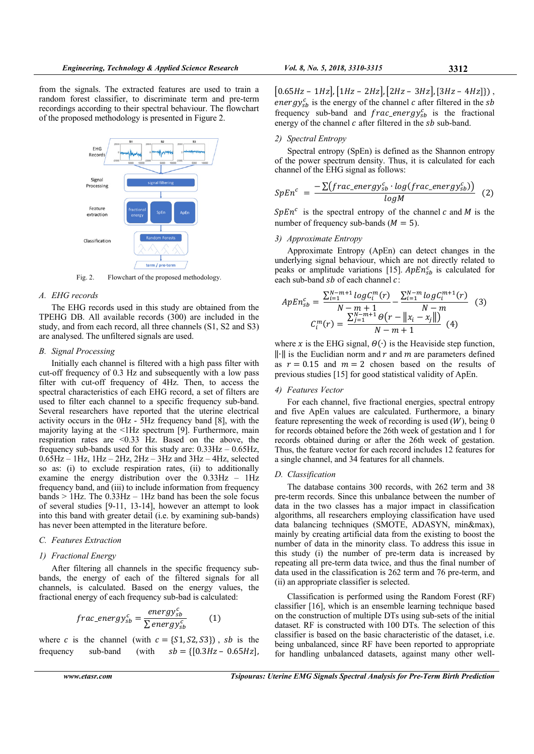from the signals. The extracted features are used to train a random forest classifier, to discriminate term and pre-term recordings according to their spectral behaviour. The flowchart of the proposed methodology is presented in Figure 2.



Fig. 2. Flowchart of the proposed methodology.

#### *A. EHG records*

The EHG records used in this study are obtained from the TPEHG DB. All available records (300) are included in the study, and from each record, all three channels (S1, S2 and S3) are analysed. The unfiltered signals are used.

## *B. Signal Processing*

Initially each channel is filtered with a high pass filter with cut-off frequency of 0.3 Hz and subsequently with a low pass filter with cut-off frequency of 4Hz. Then, to access the spectral characteristics of each EHG record, a set of filters are used to filter each channel to a specific frequency sub-band. Several researchers have reported that the uterine electrical activity occurs in the 0Hz - 5Hz frequency band [8], with the majority laying at the <1Hz spectrum [9]. Furthermore, main respiration rates are <0.33 Hz. Based on the above, the frequency sub-bands used for this study are:  $0.33\text{Hz} - 0.65\text{Hz}$ ,  $0.65$ Hz – 1Hz, 1Hz – 2Hz, 2Hz – 3Hz and 3Hz – 4Hz, selected so as: (i) to exclude respiration rates, (ii) to additionally examine the energy distribution over the 0.33Hz – 1Hz frequency band, and (iii) to include information from frequency bands  $> 1$  Hz. The 0.33 Hz  $- 1$  Hz band has been the sole focus of several studies [9-11, 13-14], however an attempt to look into this band with greater detail (i.e. by examining sub-bands) has never been attempted in the literature before.

#### *C. Features Extraction*

## *1) Fractional Energy*

After filtering all channels in the specific frequency subbands, the energy of each of the filtered signals for all channels, is calculated. Based on the energy values, the fractional energy of each frequency sub-bad is calculated:

$$
frac\_energy_{sb}^c = \frac{energy_{sb}^c}{\sum energy_{sb}^c}
$$
 (1)

where c is the channel (with  $c = \{S1, S2, S3\}$ ), sb is the frequency sub-band (with  $sb = \{ [0.3Hz - 0.65Hz],$ 

frequency sub-band and  $frac\_energy_{sb}^c$  is the fractional energy of the channel  $c$  after filtered in the  $sb$  sub-band. *2) Spectral Entropy* 

 $[0.65 Hz - 1 Hz], [1 Hz - 2 Hz], [2 Hz - 3 Hz], [3 Hz - 4 Hz]$ ), energy<sup>c</sup><sub>sb</sub> is the energy of the channel c after filtered in the sb

Spectral entropy (SpEn) is defined as the Shannon entropy of the power spectrum density. Thus, it is calculated for each channel of the EHG signal as follows:

$$
SpEnc = \frac{-\sum (frac\_energysbc log (frac\_energysbc)}{log M}
$$
 (2)

 $SpEn<sup>c</sup>$  is the spectral entropy of the channel c and M is the number of frequency sub-bands ( $M = 5$ ).

#### *3) Approximate Entropy*

Approximate Entropy (ApEn) can detect changes in the underlying signal behaviour, which are not directly related to peaks or amplitude variations [15].  $ApEn<sub>sb</sub><sup>c</sup>$  is calculated for each sub-band  $sb$  of each channel  $c$ :

$$
ApEn_{sb}^{c} = \frac{\sum_{i=1}^{N-m+1} log C_i^{m}(r)}{N-m+1} - \frac{\sum_{i=1}^{N-m} log C_i^{m+1}(r)}{N-m}
$$
(3)  

$$
C_i^{m}(r) = \frac{\sum_{j=1}^{N-m+1} \Theta(r - ||x_i - x_j||)}{N-m+1}
$$
(4)

where x is the EHG signal,  $\Theta(\cdot)$  is the Heaviside step function,  $\|\cdot\|$  is the Euclidian norm and r and m are parameters defined as  $r = 0.15$  and  $m = 2$  chosen based on the results of previous studies [15] for good statistical validity of ApEn.

# *4) Features Vector*

For each channel, five fractional energies, spectral entropy and five ApEn values are calculated. Furthermore, a binary feature representing the week of recording is used  $(W)$ , being 0 for records obtained before the 26th week of gestation and 1 for records obtained during or after the 26th week of gestation. Thus, the feature vector for each record includes 12 features for a single channel, and 34 features for all channels.

## *D. Classification*

The database contains 300 records, with 262 term and 38 pre-term records. Since this unbalance between the number of data in the two classes has a major impact in classification algorithms, all researchers employing classification have used data balancing techniques (SMOTE, ADASYN, min&max), mainly by creating artificial data from the existing to boost the number of data in the minority class. To address this issue in this study (i) the number of pre-term data is increased by repeating all pre-term data twice, and thus the final number of data used in the classification is 262 term and 76 pre-term, and (ii) an appropriate classifier is selected.

Classification is performed using the Random Forest (RF) classifier [16], which is an ensemble learning technique based on the construction of multiple DTs using sub-sets of the initial dataset. RF is constructed with 100 DTs. The selection of this classifier is based on the basic characteristic of the dataset, i.e. being unbalanced, since RF have been reported to appropriate for handling unbalanced datasets, against many other well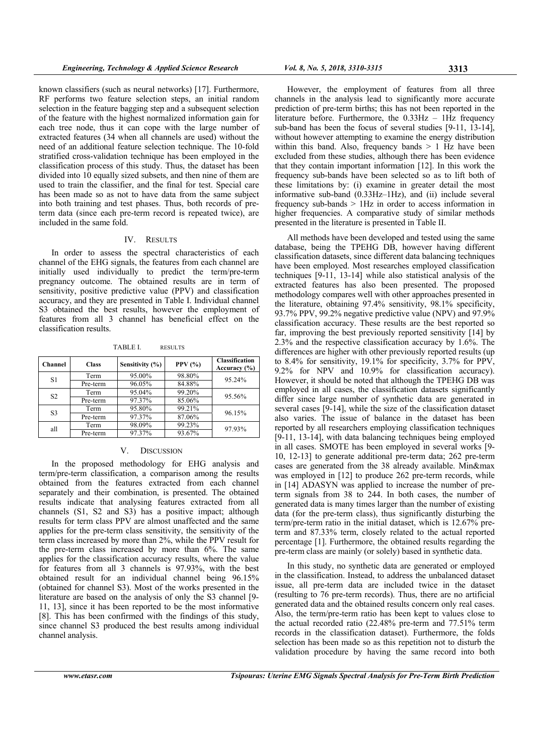known classifiers (such as neural networks) [17]. Furthermore, RF performs two feature selection steps, an initial random selection in the feature bagging step and a subsequent selection of the feature with the highest normalized information gain for each tree node, thus it can cope with the large number of extracted features (34 when all channels are used) without the need of an additional feature selection technique. The 10-fold stratified cross-validation technique has been employed in the classification process of this study. Thus, the dataset has been divided into 10 equally sized subsets, and then nine of them are used to train the classifier, and the final for test. Special care has been made so as not to have data from the same subject into both training and test phases. Thus, both records of preterm data (since each pre-term record is repeated twice), are included in the same fold.

## IV. RESULTS

In order to assess the spectral characteristics of each channel of the EHG signals, the features from each channel are initially used individually to predict the term/pre-term pregnancy outcome. The obtained results are in term of sensitivity, positive predictive value (PPV) and classification accuracy, and they are presented in Table I. Individual channel S3 obtained the best results, however the employment of features from all 3 channel has beneficial effect on the classification results.

TABLE I. RESULTS

| Channel        | <b>Class</b> | Sensitivity (%) | PPV $(\% )$ | <b>Classification</b><br>Accuracy $(\% )$ |  |
|----------------|--------------|-----------------|-------------|-------------------------------------------|--|
| S1             | Term         | 95.00%          | 98.80%      | 95.24%                                    |  |
|                | Pre-term     | 96.05%          | 84.88%      |                                           |  |
| S <sub>2</sub> | Term         | 95.04%          | 99.20%      | 95.56%                                    |  |
|                | Pre-term     | 97.37%          | 85.06%      |                                           |  |
| S <sub>3</sub> | Term         | 95.80%          | 99.21%      | 96.15%                                    |  |
|                | Pre-term     | 97.37%          | 87.06%      |                                           |  |
| all            | Term         | 98.09%          | 99.23%      | 97.93%                                    |  |
|                | Pre-term     | 97.37%          | 93.67%      |                                           |  |

#### V. DISCUSSION

In the proposed methodology for EHG analysis and term/pre-term classification, a comparison among the results obtained from the features extracted from each channel separately and their combination, is presented. The obtained results indicate that analysing features extracted from all channels (S1, S2 and S3) has a positive impact; although results for term class PPV are almost unaffected and the same applies for the pre-term class sensitivity, the sensitivity of the term class increased by more than 2%, while the PPV result for the pre-term class increased by more than 6%. The same applies for the classification accuracy results, where the value for features from all 3 channels is 97.93%, with the best obtained result for an individual channel being 96.15% (obtained for channel S3). Most of the works presented in the literature are based on the analysis of only the S3 channel [9- 11, 13], since it has been reported to be the most informative [8]. This has been confirmed with the findings of this study, since channel S3 produced the best results among individual channel analysis.

However, the employment of features from all three channels in the analysis lead to significantly more accurate prediction of pre-term births; this has not been reported in the literature before. Furthermore, the  $0.33\text{Hz}$  –  $1\text{Hz}$  frequency sub-band has been the focus of several studies [9-11, 13-14], without however attempting to examine the energy distribution within this band. Also, frequency bands  $> 1$  Hz have been excluded from these studies, although there has been evidence that they contain important information [12]. In this work the frequency sub-bands have been selected so as to lift both of these limitations by: (i) examine in greater detail the most informative sub-band (0.33Hz–1Hz), and (ii) include several frequency sub-bands  $> 1$  Hz in order to access information in higher frequencies. A comparative study of similar methods presented in the literature is presented in Table II.

All methods have been developed and tested using the same database, being the TPEHG DB, however having different classification datasets, since different data balancing techniques have been employed. Most researches employed classification techniques [9-11, 13-14] while also statistical analysis of the extracted features has also been presented. The proposed methodology compares well with other approaches presented in the literature, obtaining 97.4% sensitivity, 98.1% specificity, 93.7% PPV, 99.2% negative predictive value (NPV) and 97.9% classification accuracy. These results are the best reported so far, improving the best previously reported sensitivity [14] by 2.3% and the respective classification accuracy by 1.6%. The differences are higher with other previously reported results (up to 8.4% for sensitivity, 19.1% for specificity, 3.7% for PPV, 9.2% for NPV and 10.9% for classification accuracy). However, it should be noted that although the TPEHG DB was employed in all cases, the classification datasets significantly differ since large number of synthetic data are generated in several cases [9-14], while the size of the classification dataset also varies. The issue of balance in the dataset has been reported by all researchers employing classification techniques [9-11, 13-14], with data balancing techniques being employed in all cases. SMOTE has been employed in several works [9- 10, 12-13] to generate additional pre-term data; 262 pre-term cases are generated from the 38 already available. Min&max was employed in [12] to produce 262 pre-term records, while in [14] ADASYN was applied to increase the number of preterm signals from 38 to 244. In both cases, the number of generated data is many times larger than the number of existing data (for the pre-term class), thus significantly disturbing the term/pre-term ratio in the initial dataset, which is 12.67% preterm and 87.33% term, closely related to the actual reported percentage [1]. Furthermore, the obtained results regarding the pre-term class are mainly (or solely) based in synthetic data.

In this study, no synthetic data are generated or employed in the classification. Instead, to address the unbalanced dataset issue, all pre-term data are included twice in the dataset (resulting to 76 pre-term records). Thus, there are no artificial generated data and the obtained results concern only real cases. Also, the term/pre-term ratio has been kept to values close to the actual recorded ratio (22.48% pre-term and 77.51% term records in the classification dataset). Furthermore, the folds selection has been made so as this repetition not to disturb the validation procedure by having the same record into both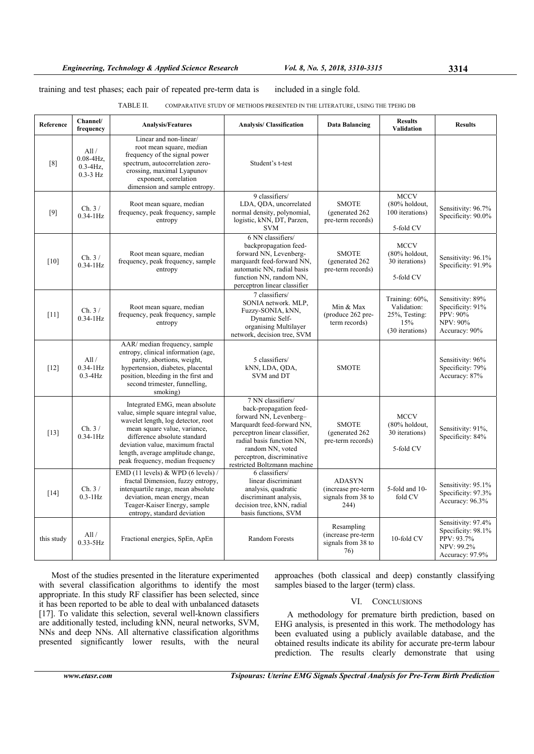## training and test phases; each pair of repeated pre-term data is included in a single fold.

## TABLE II. COMPARATIVE STUDY OF METHODS PRESENTED IN THE LITERATURE, USING THE TPEHG DB

| Reference  | Channel/<br>frequency                                 | <b>Analysis/Features</b>                                                                                                                                                                                                                                                                 | <b>Analysis/Classification</b>                                                                                                                                                                                                                      | <b>Data Balancing</b>                                             | <b>Results</b><br><b>Validation</b>                                      | <b>Results</b>                                                                          |
|------------|-------------------------------------------------------|------------------------------------------------------------------------------------------------------------------------------------------------------------------------------------------------------------------------------------------------------------------------------------------|-----------------------------------------------------------------------------------------------------------------------------------------------------------------------------------------------------------------------------------------------------|-------------------------------------------------------------------|--------------------------------------------------------------------------|-----------------------------------------------------------------------------------------|
| [8]        | All/<br>$0.08 - 4Hz$<br>$0.3 - 4Hz$ ,<br>$0.3 - 3$ Hz | Linear and non-linear/<br>root mean square, median<br>frequency of the signal power<br>spectrum, autocorrelation zero-<br>crossing, maximal Lyapunov<br>exponent, correlation<br>dimension and sample entropy.                                                                           | Student's t-test                                                                                                                                                                                                                                    |                                                                   |                                                                          |                                                                                         |
| [9]        | Ch.3/<br>$0.34 - 1$ Hz                                | Root mean square, median<br>frequency, peak frequency, sample<br>entropy                                                                                                                                                                                                                 | 9 classifiers/<br>LDA, QDA, uncorrelated<br>normal density, polynomial,<br>logistic, kNN, DT, Parzen,<br><b>SVM</b>                                                                                                                                 | <b>SMOTE</b><br>(generated 262)<br>pre-term records)              | <b>MCCV</b><br>(80% holdout,<br>100 iterations)<br>5-fold CV             | Sensitivity: 96.7%<br>Specificity: 90.0%                                                |
| [10]       | Ch.3/<br>$0.34 - 1$ Hz                                | Root mean square, median<br>frequency, peak frequency, sample<br>entropy                                                                                                                                                                                                                 | 6 NN classifiers/<br>backpropagation feed-<br>forward NN, Levenberg-<br>marquardt feed-forward NN,<br>automatic NN, radial basis<br>function NN, random NN,<br>perceptron linear classifier                                                         | <b>SMOTE</b><br>(generated 262)<br>pre-term records)              | <b>MCCV</b><br>(80% holdout,<br>30 iterations)<br>5-fold CV              | Sensitivity: 96.1%<br>Specificity: 91.9%                                                |
| $[11]$     | Ch. 3/<br>$0.34 - 1$ Hz                               | Root mean square, median<br>frequency, peak frequency, sample<br>entropy                                                                                                                                                                                                                 | 7 classifiers/<br>SONIA network. MLP,<br>Fuzzy-SONIA, kNN,<br>Dynamic Self-<br>organising Multilayer<br>network, decision tree, SVM                                                                                                                 | Min & Max<br>(produce 262 pre-<br>term records)                   | Training: 60%,<br>Validation:<br>25%, Testing:<br>15%<br>(30 iterations) | Sensitivity: 89%<br>Specificity: 91%<br>PPV: 90%<br><b>NPV: 90%</b><br>Accuracy: 90%    |
| $[12]$     | All /<br>$0.34 - 1$ Hz<br>$0.3 - 4$ Hz                | AAR/ median frequency, sample<br>entropy, clinical information (age,<br>parity, abortions, weight,<br>hypertension, diabetes, placental<br>position, bleeding in the first and<br>second trimester, funnelling,<br>smoking)                                                              | 5 classifiers/<br>kNN, LDA, QDA,<br>SVM and DT                                                                                                                                                                                                      | <b>SMOTE</b>                                                      |                                                                          | Sensitivity: 96%<br>Specificity: 79%<br>Accuracy: 87%                                   |
| $[13]$     | Ch. 3/<br>$0.34-1Hz$                                  | Integrated EMG, mean absolute<br>value, simple square integral value,<br>wavelet length, log detector, root<br>mean square value, variance,<br>difference absolute standard<br>deviation value, maximum fractal<br>length, average amplitude change,<br>peak frequency, median frequency | 7 NN classifiers/<br>back-propagation feed-<br>forward NN, Levenberg-<br>Marquardt feed-forward NN,<br>perceptron linear classifier,<br>radial basis function NN.<br>random NN, voted<br>perceptron, discriminative<br>restricted Boltzmann machine | <b>SMOTE</b><br>(generated 262<br>pre-term records)               | <b>MCCV</b><br>(80% holdout,<br>30 iterations)<br>5-fold CV              | Sensitivity: 91%,<br>Specificity: 84%                                                   |
| $[14]$     | Ch.3/<br>$0.3 - 1$ Hz                                 | EMD (11 levels) $&$ WPD (6 levels) /<br>fractal Dimension, fuzzy entropy,<br>interquartile range, mean absolute<br>deviation, mean energy, mean<br>Teager-Kaiser Energy, sample<br>entropy, standard deviation                                                                           | 6 classifiers/<br>linear discriminant<br>analysis, quadratic<br>discriminant analysis,<br>decision tree, kNN, radial<br>basis functions, SVM                                                                                                        | <b>ADASYN</b><br>(increase pre-term<br>signals from 38 to<br>244) | 5-fold and 10-<br>fold CV                                                | Sensitivity: 95.1%<br>Specificity: 97.3%<br>Accuracy: 96.3%                             |
| this study | All /<br>$0.33 - 5$ Hz                                | Fractional energies, SpEn, ApEn                                                                                                                                                                                                                                                          | <b>Random Forests</b>                                                                                                                                                                                                                               | Resampling<br>(increase pre-term<br>signals from 38 to<br>76)     | 10-fold CV                                                               | Sensitivity: 97.4%<br>Specificity: 98.1%<br>PPV: 93.7%<br>NPV: 99.2%<br>Accuracy: 97.9% |

Most of the studies presented in the literature experimented with several classification algorithms to identify the most appropriate. In this study RF classifier has been selected, since it has been reported to be able to deal with unbalanced datasets [17]. To validate this selection, several well-known classifiers are additionally tested, including kNN, neural networks, SVM, NNs and deep NNs. All alternative classification algorithms presented significantly lower results, with the neural approaches (both classical and deep) constantly classifying samples biased to the larger (term) class.

# VI. CONCLUSIONS

A methodology for premature birth prediction, based on EHG analysis, is presented in this work. The methodology has been evaluated using a publicly available database, and the obtained results indicate its ability for accurate pre-term labour prediction. The results clearly demonstrate that using